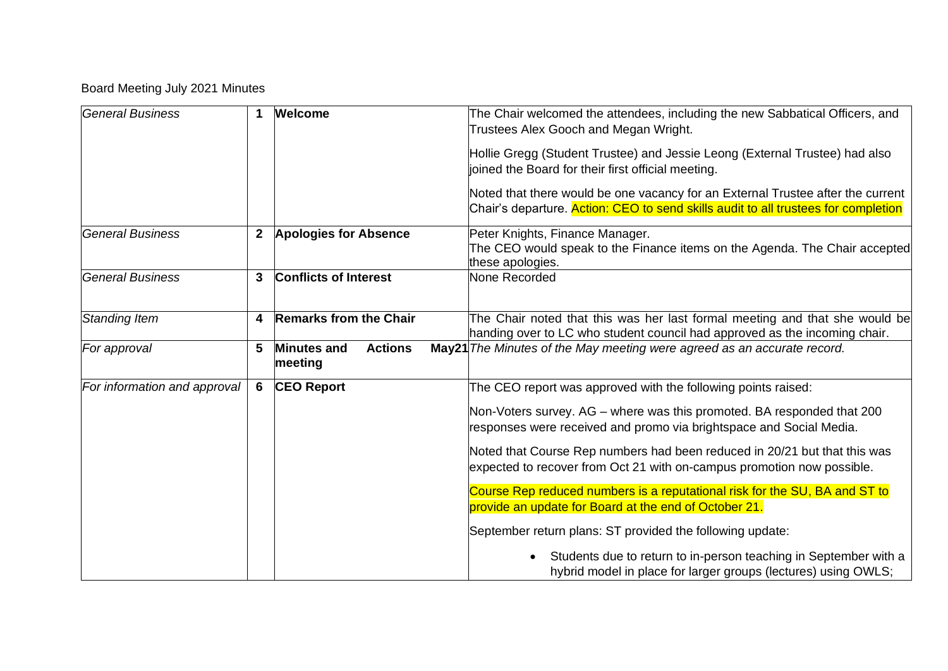## Board Meeting July 2021 Minutes

| <b>General Business</b>      | 1            | <b>Welcome</b>                                  | The Chair welcomed the attendees, including the new Sabbatical Officers, and<br>Trustees Alex Gooch and Megan Wright.                                                 |
|------------------------------|--------------|-------------------------------------------------|-----------------------------------------------------------------------------------------------------------------------------------------------------------------------|
|                              |              |                                                 | Hollie Gregg (Student Trustee) and Jessie Leong (External Trustee) had also<br>joined the Board for their first official meeting.                                     |
|                              |              |                                                 | Noted that there would be one vacancy for an External Trustee after the current<br>Chair's departure. Action: CEO to send skills audit to all trustees for completion |
| <b>General Business</b>      | $\mathbf{2}$ | <b>Apologies for Absence</b>                    | Peter Knights, Finance Manager.<br>The CEO would speak to the Finance items on the Agenda. The Chair accepted<br>these apologies.                                     |
| <b>General Business</b>      | 3            | <b>Conflicts of Interest</b>                    | None Recorded                                                                                                                                                         |
| Standing Item                | 4            | <b>Remarks from the Chair</b>                   | The Chair noted that this was her last formal meeting and that she would be<br>handing over to LC who student council had approved as the incoming chair.             |
| For approval                 | 5            | <b>Minutes and</b><br><b>Actions</b><br>meeting | May21 The Minutes of the May meeting were agreed as an accurate record.                                                                                               |
| For information and approval | 6            | <b>CEO Report</b>                               | The CEO report was approved with the following points raised:                                                                                                         |
|                              |              |                                                 | Non-Voters survey. AG – where was this promoted. BA responded that 200<br>responses were received and promo via brightspace and Social Media.                         |
|                              |              |                                                 | Noted that Course Rep numbers had been reduced in 20/21 but that this was<br>expected to recover from Oct 21 with on-campus promotion now possible.                   |
|                              |              |                                                 | Course Rep reduced numbers is a reputational risk for the SU, BA and ST to                                                                                            |
|                              |              |                                                 | provide an update for Board at the end of October 21.                                                                                                                 |
|                              |              |                                                 | September return plans: ST provided the following update:                                                                                                             |
|                              |              |                                                 | Students due to return to in-person teaching in September with a<br>hybrid model in place for larger groups (lectures) using OWLS;                                    |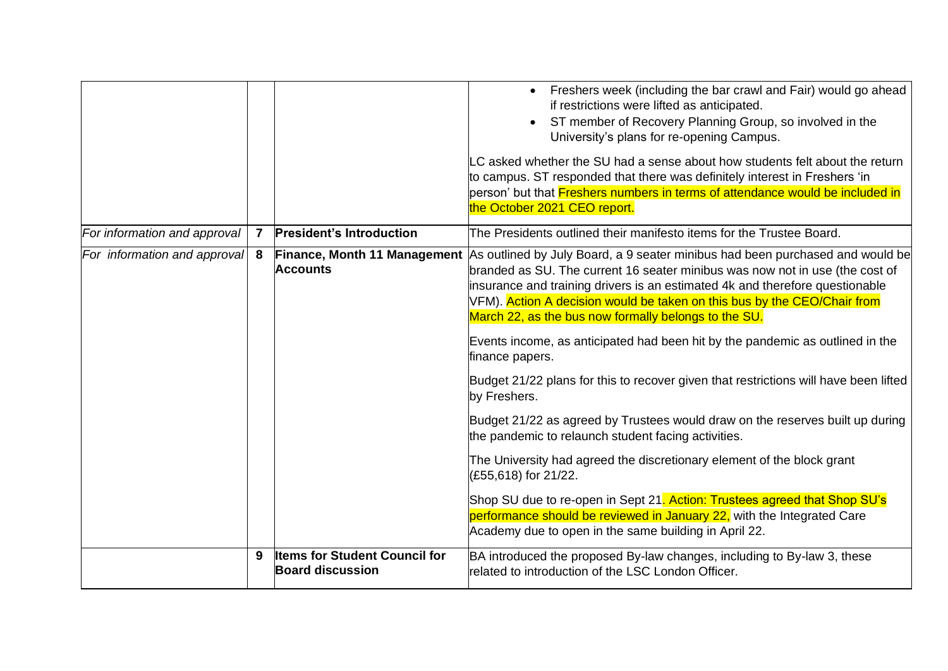|                              |              |                                                                 | Freshers week (including the bar crawl and Fair) would go ahead<br>$\bullet$<br>if restrictions were lifted as anticipated.<br>ST member of Recovery Planning Group, so involved in the<br>University's plans for re-opening Campus.<br>LC asked whether the SU had a sense about how students felt about the return                                                              |
|------------------------------|--------------|-----------------------------------------------------------------|-----------------------------------------------------------------------------------------------------------------------------------------------------------------------------------------------------------------------------------------------------------------------------------------------------------------------------------------------------------------------------------|
|                              |              |                                                                 | to campus. ST responded that there was definitely interest in Freshers 'in<br>person' but that Freshers numbers in terms of attendance would be included in<br>the October 2021 CEO report.                                                                                                                                                                                       |
| For information and approval | $\mathbf{7}$ | <b>President's Introduction</b>                                 | The Presidents outlined their manifesto items for the Trustee Board.                                                                                                                                                                                                                                                                                                              |
| For information and approval | 8            | Finance, Month 11 Management<br><b>Accounts</b>                 | As outlined by July Board, a 9 seater minibus had been purchased and would be<br>branded as SU. The current 16 seater minibus was now not in use (the cost of<br>insurance and training drivers is an estimated 4k and therefore questionable<br>VFM). Action A decision would be taken on this bus by the CEO/Chair from<br>March 22, as the bus now formally belongs to the SU. |
|                              |              |                                                                 | Events income, as anticipated had been hit by the pandemic as outlined in the<br>finance papers.                                                                                                                                                                                                                                                                                  |
|                              |              |                                                                 | Budget 21/22 plans for this to recover given that restrictions will have been lifted<br>by Freshers.                                                                                                                                                                                                                                                                              |
|                              |              |                                                                 | Budget 21/22 as agreed by Trustees would draw on the reserves built up during<br>the pandemic to relaunch student facing activities.                                                                                                                                                                                                                                              |
|                              |              |                                                                 | The University had agreed the discretionary element of the block grant<br>(£55,618) for 21/22.                                                                                                                                                                                                                                                                                    |
|                              |              |                                                                 | Shop SU due to re-open in Sept 21. Action: Trustees agreed that Shop SU's<br>performance should be reviewed in January 22, with the Integrated Care<br>Academy due to open in the same building in April 22.                                                                                                                                                                      |
|                              | 9            | <b>Items for Student Council for</b><br><b>Board discussion</b> | BA introduced the proposed By-law changes, including to By-law 3, these<br>related to introduction of the LSC London Officer.                                                                                                                                                                                                                                                     |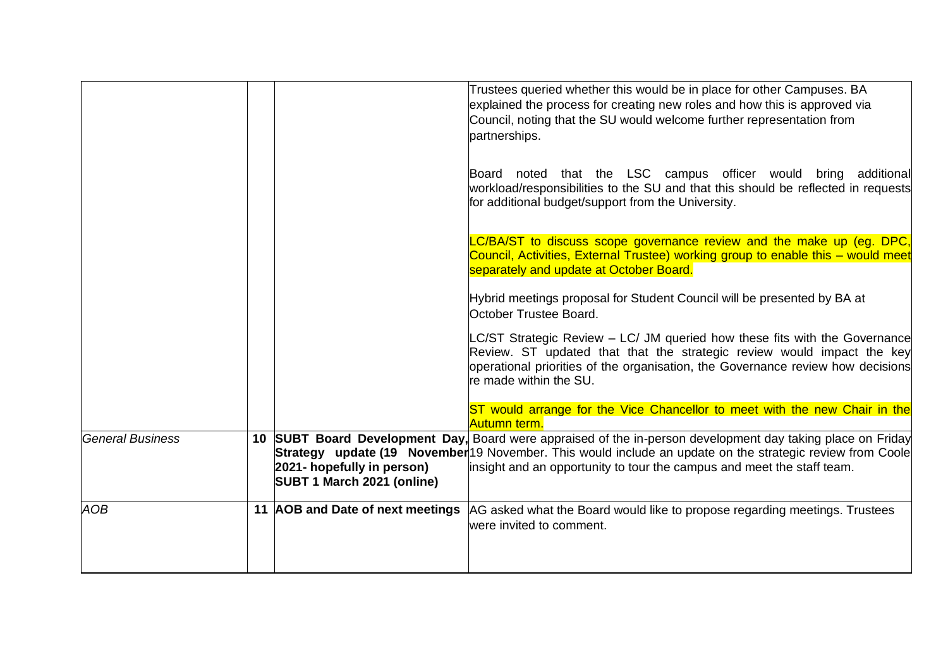|                         |                                                          | Trustees queried whether this would be in place for other Campuses. BA<br>explained the process for creating new roles and how this is approved via<br>Council, noting that the SU would welcome further representation from<br>partnerships.                                                                 |
|-------------------------|----------------------------------------------------------|---------------------------------------------------------------------------------------------------------------------------------------------------------------------------------------------------------------------------------------------------------------------------------------------------------------|
|                         |                                                          | Board noted that the LSC campus officer would bring additional<br>workload/responsibilities to the SU and that this should be reflected in requests<br>for additional budget/support from the University.                                                                                                     |
|                         |                                                          | C/BA/ST to discuss scope governance review and the make up (eg. DPC,<br>Council, Activities, External Trustee) working group to enable this – would meet<br>separately and update at October Board.                                                                                                           |
|                         |                                                          | Hybrid meetings proposal for Student Council will be presented by BA at<br>October Trustee Board.                                                                                                                                                                                                             |
|                         |                                                          | LC/ST Strategic Review - LC/ JM queried how these fits with the Governance<br>Review. ST updated that that the strategic review would impact the key<br>operational priorities of the organisation, the Governance review how decisions<br>re made within the SU.                                             |
|                         |                                                          | ST would arrange for the Vice Chancellor to meet with the new Chair in the<br>Autumn term.                                                                                                                                                                                                                    |
| <b>General Business</b> | 2021- hopefully in person)<br>SUBT 1 March 2021 (online) | 10 SUBT Board Development Day, Board were appraised of the in-person development day taking place on Friday<br>Strategy update (19 November <sup>19</sup> November. This would include an update on the strategic review from Coole<br>insight and an opportunity to tour the campus and meet the staff team. |
| AOB                     | 11 AOB and Date of next meetings                         | AG asked what the Board would like to propose regarding meetings. Trustees<br>were invited to comment.                                                                                                                                                                                                        |
|                         |                                                          |                                                                                                                                                                                                                                                                                                               |